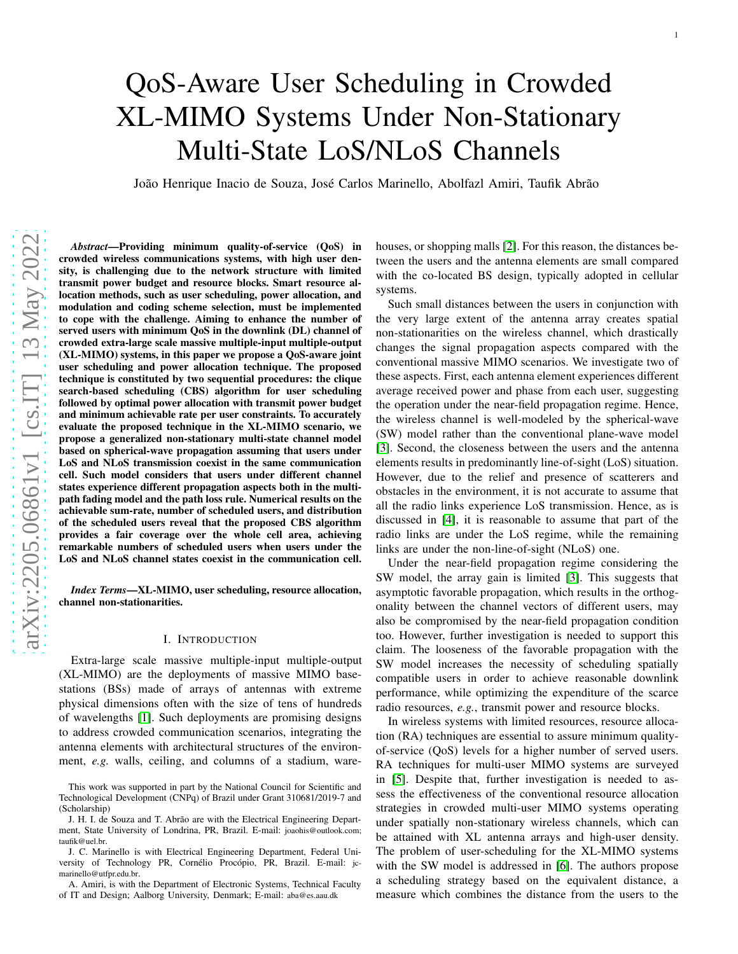# QoS-Aware User Scheduling in Crowded XL-MIMO Systems Under Non-Stationary Multi-State LoS/NLoS Channels

João Henrique Inacio de Souza, José Carlos Marinello, Abolfazl Amiri, Taufik Abrão

*Abstract*—Providing minimum quality-of-service (QoS) in crowded wireless communications systems, with high user density, is challenging due to the network structure with limited transmit power budget and resource blocks. Smart resource allocation methods, such as user scheduling, power allocation, and modulation and coding scheme selection, must be implemente d to cope with the challenge. Aiming to enhance the number of served users with minimum QoS in the downlink (DL) channel of crowded extra-large scale massive multiple-input multiple-output (XL-MIMO) systems, in this paper we propose a QoS-aware join t user scheduling and power allocation technique. The proposed technique is constituted by two sequential procedures: the clique search-based scheduling (CBS) algorithm for user scheduling followed by optimal power allocation with transmit power budget and minimum achievable rate per user constraints. To accurately evaluate the proposed technique in the XL-MIMO scenario, we propose a generalized non-stationary multi-state channel model based on spherical-wave propagation assuming that users under LoS and NLoS transmission coexist in the same communication cell. Such model considers that users under different channel states experience different propagation aspects both in the multipath fading model and the path loss rule. Numerical results on the achievable sum-rate, number of scheduled users, and distribution of the scheduled users reveal that the proposed CBS algorith m provides a fair coverage over the whole cell area, achieving remarkable numbers of scheduled users when users under the LoS and NLoS channel states coexist in the communication cell.

*Index Terms*—XL-MIMO, user scheduling, resource allocation, channel non-stationarities.

## I. INTRODUCTION

Extra-large scale massive multiple-input multiple-outpu t (XL-MIMO) are the deployments of massive MIMO basestations (BSs) made of arrays of antennas with extreme physical dimensions often with the size of tens of hundreds of wavelengths [\[1\]](#page-11-0). Such deployments are promising designs to address crowded communication scenarios, integrating the antenna elements with architectural structures of the environment, *e.g.* walls, ceiling, and columns of a stadium, warehouses, or shopping malls [\[2\]](#page-11-1). For this reason, the distances between the users and the antenna elements are small compared with the co-located BS design, typically adopted in cellular systems.

Such small distances between the users in conjunction with the very large extent of the antenna array creates spatial non-stationarities on the wireless channel, which drastically changes the signal propagation aspects compared with the conventional massive MIMO scenarios. We investigate two of these aspects. First, each antenna element experiences different average received power and phase from each user, suggesting the operation under the near-field propagation regime. Hence, the wireless channel is well-modeled by the spherical-wave (SW) model rather than the conventional plane-wave model [\[3\]](#page-11-2). Second, the closeness between the users and the antenna elements results in predominantly line-of-sight (LoS) situation. However, due to the relief and presence of scatterers and obstacles in the environment, it is not accurate to assume that all the radio links experience LoS transmission. Hence, as i s discussed in [\[4\]](#page-11-3), it is reasonable to assume that part of the radio links are under the LoS regime, while the remaining links are under the non-line-of-sight (NLoS) one.

Under the near-field propagation regime considering the SW model, the array gain is limited [\[3\]](#page-11-2). This suggests that asymptotic favorable propagation, which results in the orthogonality between the channel vectors of different users, may also be compromised by the near-field propagation condition too. However, further investigation is needed to support this claim. The looseness of the favorable propagation with the SW model increases the necessity of scheduling spatially compatible users in order to achieve reasonable downlink performance, while optimizing the expenditure of the scarce radio resources, *e.g.*, transmit power and resource blocks.

In wireless systems with limited resources, resource allocation (RA) techniques are essential to assure minimum qualityof-service (QoS) levels for a higher number of served users. RA techniques for multi-user MIMO systems are surveyed in [\[5\]](#page-11-4). Despite that, further investigation is needed to assess the effectiveness of the conventional resource allocation strategies in crowded multi-user MIMO systems operating under spatially non-stationary wireless channels, which can be attained with XL antenna arrays and high-user density. The problem of user-scheduling for the XL-MIMO systems with the SW model is addressed in [\[6\]](#page-11-5). The authors propose a scheduling strategy based on the equivalent distance, a measure which combines the distance from the users to the

This work was supported in part by the National Council for Scientific and Technological Development (CNPq) of Brazil under Grant 310681/2019-7 and (Scholarship)

J. H. I. de Souza and T. Abrão are with the Electrical Engineering Department, State University of Londrina, PR, Brazil. E-mail: joaohis@outlook.com; taufik@uel.br .

J. C. Marinello is with Electrical Engineering Department, Federal University of Technology PR, Cornélio Procópio, PR, Brazil. E-mail: jcmarinello@utfpr.edu.br.

A. Amiri, is with the Department of Electronic Systems, Technical Faculty of IT and Design; Aalborg University, Denmark; E-mail: aba@es.aau.dk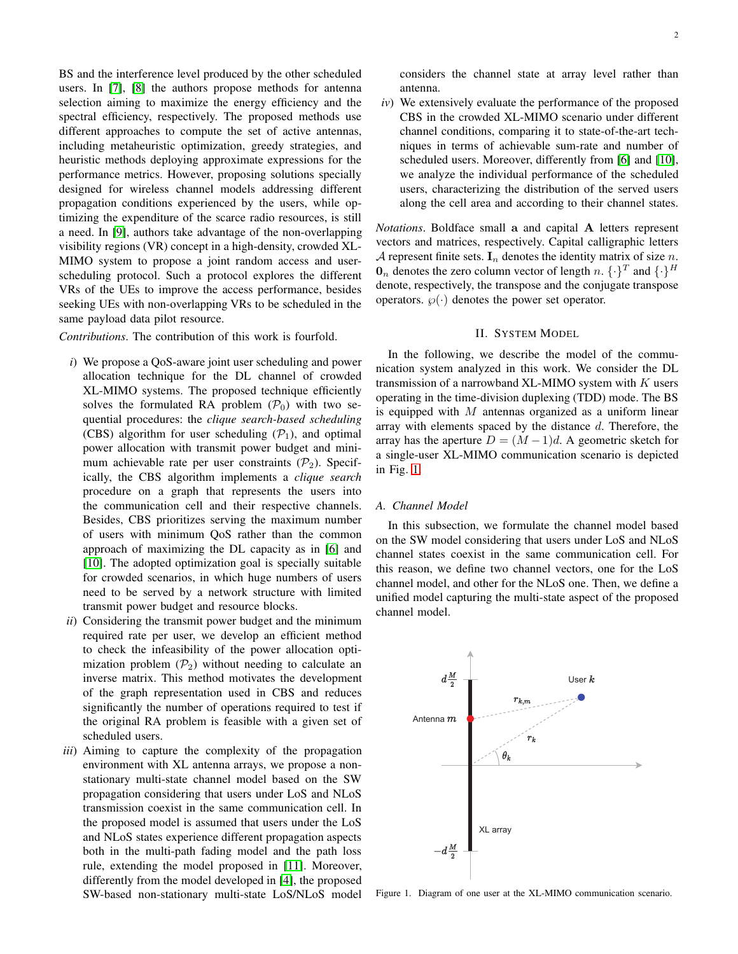BS and the interference level produced by the other scheduled users. In [\[7\]](#page-11-6), [\[8\]](#page-11-7) the authors propose methods for antenna selection aiming to maximize the energy efficiency and the spectral efficiency, respectively. The proposed methods use different approaches to compute the set of active antennas, including metaheuristic optimization, greedy strategies, and heuristic methods deploying approximate expressions for the performance metrics. However, proposing solutions specially designed for wireless channel models addressing different propagation conditions experienced by the users, while optimizing the expenditure of the scarce radio resources, is still a need. In [\[9\]](#page-11-8), authors take advantage of the non-overlapping visibility regions (VR) concept in a high-density, crowded XL-MIMO system to propose a joint random access and userscheduling protocol. Such a protocol explores the different VRs of the UEs to improve the access performance, besides seeking UEs with non-overlapping VRs to be scheduled in the same payload data pilot resource.

*Contributions*. The contribution of this work is fourfold.

- *i*) We propose a QoS-aware joint user scheduling and power allocation technique for the DL channel of crowded XL-MIMO systems. The proposed technique efficiently solves the formulated RA problem  $(\mathcal{P}_0)$  with two sequential procedures: the *clique search-based scheduling* (CBS) algorithm for user scheduling  $(\mathcal{P}_1)$ , and optimal power allocation with transmit power budget and minimum achievable rate per user constraints  $(\mathcal{P}_2)$ . Specifically, the CBS algorithm implements a *clique search* procedure on a graph that represents the users into the communication cell and their respective channels. Besides, CBS prioritizes serving the maximum number of users with minimum QoS rather than the common approach of maximizing the DL capacity as in [\[6\]](#page-11-5) and [\[10\]](#page-11-9). The adopted optimization goal is specially suitable for crowded scenarios, in which huge numbers of users need to be served by a network structure with limited transmit power budget and resource blocks.
- *ii*) Considering the transmit power budget and the minimum required rate per user, we develop an efficient method to check the infeasibility of the power allocation optimization problem  $(\mathcal{P}_2)$  without needing to calculate an inverse matrix. This method motivates the development of the graph representation used in CBS and reduces significantly the number of operations required to test if the original RA problem is feasible with a given set of scheduled users.
- *iii*) Aiming to capture the complexity of the propagation environment with XL antenna arrays, we propose a nonstationary multi-state channel model based on the SW propagation considering that users under LoS and NLoS transmission coexist in the same communication cell. In the proposed model is assumed that users under the LoS and NLoS states experience different propagation aspects both in the multi-path fading model and the path loss rule, extending the model proposed in [\[11\]](#page-11-10). Moreover, differently from the model developed in [\[4\]](#page-11-3), the proposed SW-based non-stationary multi-state LoS/NLoS model

considers the channel state at array level rather than antenna.

*iv*) We extensively evaluate the performance of the proposed CBS in the crowded XL-MIMO scenario under different channel conditions, comparing it to state-of-the-art techniques in terms of achievable sum-rate and number of scheduled users. Moreover, differently from [\[6\]](#page-11-5) and [\[10\]](#page-11-9), we analyze the individual performance of the scheduled users, characterizing the distribution of the served users along the cell area and according to their channel states.

*Notations*. Boldface small a and capital A letters represent vectors and matrices, respectively. Capital calligraphic letters A represent finite sets.  $I_n$  denotes the identity matrix of size n.  $\mathbf{0}_n$  denotes the zero column vector of length n.  $\{\cdot\}^T$  and  $\{\cdot\}^H$ denote, respectively, the transpose and the conjugate transpose operators.  $\varphi(\cdot)$  denotes the power set operator.

## II. SYSTEM MODEL

<span id="page-1-1"></span>In the following, we describe the model of the communication system analyzed in this work. We consider the DL transmission of a narrowband XL-MIMO system with  $K$  users operating in the time-division duplexing (TDD) mode. The BS is equipped with  $M$  antennas organized as a uniform linear array with elements spaced by the distance d. Therefore, the array has the aperture  $D = (M-1)d$ . A geometric sketch for a single-user XL-MIMO communication scenario is depicted in Fig. [1.](#page-1-0)

## *A. Channel Model*

In this subsection, we formulate the channel model based on the SW model considering that users under LoS and NLoS channel states coexist in the same communication cell. For this reason, we define two channel vectors, one for the LoS channel model, and other for the NLoS one. Then, we define a unified model capturing the multi-state aspect of the proposed channel model.



<span id="page-1-0"></span>Figure 1. Diagram of one user at the XL-MIMO communication scenario.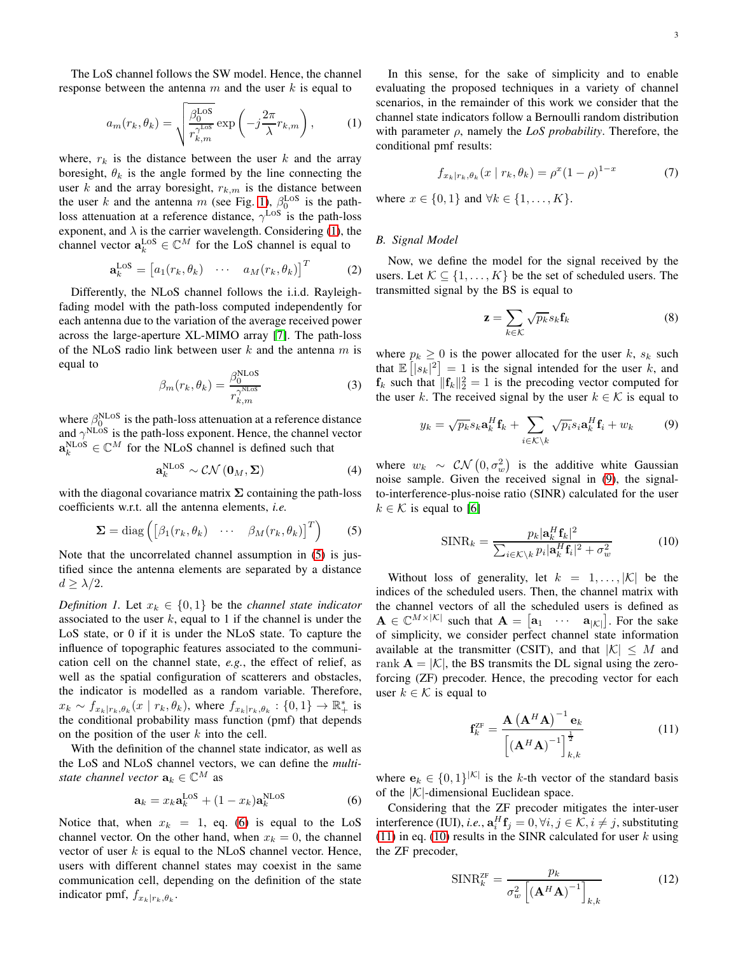The LoS channel follows the SW model. Hence, the channel response between the antenna  $m$  and the user k is equal to

<span id="page-2-0"></span>
$$
a_m(r_k, \theta_k) = \sqrt{\frac{\beta_0^{\text{LoS}}}{r_{k,m}^{\gamma^{\text{LoS}}}}}\exp\left(-j\frac{2\pi}{\lambda}r_{k,m}\right),\tag{1}
$$

where,  $r_k$  is the distance between the user k and the array boresight,  $\theta_k$  is the angle formed by the line connecting the user k and the array boresight,  $r_{k,m}$  is the distance between the user k and the antenna m (see Fig. [1\)](#page-1-0),  $\beta_0^{\text{LoS}}$  is the pathloss attenuation at a reference distance,  $\gamma^{\text{LoS}}$  is the path-loss exponent, and  $\lambda$  is the carrier wavelength. Considering [\(1\)](#page-2-0), the channel vector  $\mathbf{a}_k^{\text{LOS}} \in \mathbb{C}^M$  for the LoS channel is equal to

$$
\mathbf{a}_k^{\text{LOS}} = \begin{bmatrix} a_1(r_k, \theta_k) & \cdots & a_M(r_k, \theta_k) \end{bmatrix}^T \tag{2}
$$

Differently, the NLoS channel follows the i.i.d. Rayleighfading model with the path-loss computed independently for each antenna due to the variation of the average received power across the large-aperture XL-MIMO array [\[7\]](#page-11-6). The path-loss of the NLoS radio link between user  $k$  and the antenna  $m$  is equal to

$$
\beta_m(r_k, \theta_k) = \frac{\beta_0^{\text{NLoS}}}{r_{k,m}^{\gamma^{\text{NLoS}}}}
$$
\n(3)

where  $\beta_0^{\text{NLoS}}$  is the path-loss attenuation at a reference distance and  $\gamma^{\text{NLoS}}$  is the path-loss exponent. Hence, the channel vector  $\mathbf{a}_k^{\text{NLoS}} \in \mathbb{C}^M$  for the NLoS channel is defined such that

$$
\mathbf{a}_{k}^{\mathrm{NLoS}} \sim \mathcal{CN}\left(\mathbf{0}_{M}, \boldsymbol{\Sigma}\right) \tag{4}
$$

with the diagonal covariance matrix  $\Sigma$  containing the path-loss coefficients w.r.t. all the antenna elements, *i.e.*

<span id="page-2-1"></span>
$$
\mathbf{\Sigma} = \text{diag}\left( \begin{bmatrix} \beta_1(r_k, \theta_k) & \cdots & \beta_M(r_k, \theta_k) \end{bmatrix}^T \right) \tag{5}
$$

Note that the uncorrelated channel assumption in [\(5\)](#page-2-1) is justified since the antenna elements are separated by a distance  $d \geq \lambda/2$ .

*Definition 1.* Let  $x_k \in \{0, 1\}$  be the *channel state indicator* associated to the user  $k$ , equal to 1 if the channel is under the LoS state, or 0 if it is under the NLoS state. To capture the influence of topographic features associated to the communication cell on the channel state, *e.g.*, the effect of relief, as well as the spatial configuration of scatterers and obstacles, the indicator is modelled as a random variable. Therefore,  $x_k \sim f_{x_k|r_k, \theta_k}(x \mid r_k, \theta_k)$ , where  $f_{x_k|r_k, \theta_k}: \{0, 1\} \to \mathbb{R}_+^*$  is the conditional probability mass function (pmf) that depends on the position of the user  $k$  into the cell.

With the definition of the channel state indicator, as well as the LoS and NLoS channel vectors, we can define the *multistate channel vector*  $\mathbf{a}_k \in \mathbb{C}^M$  as

<span id="page-2-2"></span>
$$
\mathbf{a}_k = x_k \mathbf{a}_k^{\text{LoS}} + (1 - x_k) \mathbf{a}_k^{\text{NLoS}} \tag{6}
$$

Notice that, when  $x_k = 1$ , eq. [\(6\)](#page-2-2) is equal to the LoS channel vector. On the other hand, when  $x_k = 0$ , the channel vector of user  $k$  is equal to the NLoS channel vector. Hence, users with different channel states may coexist in the same communication cell, depending on the definition of the state indicator pmf,  $f_{x_k|r_k, \theta_k}$ .

In this sense, for the sake of simplicity and to enable evaluating the proposed techniques in a variety of channel scenarios, in the remainder of this work we consider that the channel state indicators follow a Bernoulli random distribution with parameter  $\rho$ , namely the *LoS probability*. Therefore, the conditional pmf results:

$$
f_{x_k|r_k, \theta_k}(x | r_k, \theta_k) = \rho^x (1 - \rho)^{1 - x}
$$
 (7)

where  $x \in \{0, 1\}$  and  $\forall k \in \{1, \ldots, K\}$ .

# *B. Signal Model*

Now, we define the model for the signal received by the users. Let  $\mathcal{K} \subseteq \{1, \ldots, K\}$  be the set of scheduled users. The transmitted signal by the BS is equal to

$$
\mathbf{z} = \sum_{k \in \mathcal{K}} \sqrt{p_k} s_k \mathbf{f}_k \tag{8}
$$

where  $p_k \geq 0$  is the power allocated for the user k,  $s_k$  such that  $\mathbb{E}[|s_k|^2] = 1$  is the signal intended for the user k, and  $f_k$  such that  $||f_k||_2^2 = 1$  is the precoding vector computed for the user k. The received signal by the user  $k \in \mathcal{K}$  is equal to

<span id="page-2-3"></span>
$$
y_k = \sqrt{p_k} s_k \mathbf{a}_k^H \mathbf{f}_k + \sum_{i \in \mathcal{K} \backslash k} \sqrt{p_i} s_i \mathbf{a}_k^H \mathbf{f}_i + w_k \tag{9}
$$

where  $w_k \sim \mathcal{CN}\left(0, \sigma_w^2\right)$  is the additive white Gaussian noise sample. Given the received signal in [\(9\)](#page-2-3), the signalto-interference-plus-noise ratio (SINR) calculated for the user  $k \in \mathcal{K}$  is equal to [\[6\]](#page-11-5)

<span id="page-2-5"></span>
$$
\text{SINR}_k = \frac{p_k |\mathbf{a}_k^H \mathbf{f}_k|^2}{\sum_{i \in \mathcal{K} \setminus k} p_i |\mathbf{a}_k^H \mathbf{f}_i|^2 + \sigma_w^2}
$$
(10)

Without loss of generality, let  $k = 1, \ldots, |\mathcal{K}|$  be the indices of the scheduled users. Then, the channel matrix with the channel vectors of all the scheduled users is defined as  $\mathbf{A} \in \mathbb{C}^{M \times |\mathcal{K}|}$  such that  $\mathbf{A} = [\mathbf{a}_1 \cdots \mathbf{a}_{|\mathcal{K}|}]$ . For the sake of simplicity, we consider perfect channel state information available at the transmitter (CSIT), and that  $|K| \leq M$  and rank  $A = |\mathcal{K}|$ , the BS transmits the DL signal using the zeroforcing (ZF) precoder. Hence, the precoding vector for each user  $k \in \mathcal{K}$  is equal to

<span id="page-2-4"></span>
$$
\mathbf{f}_{k}^{\text{ZF}} = \frac{\mathbf{A} \left( \mathbf{A}^H \mathbf{A} \right)^{-1} \mathbf{e}_{k}}{\left[ \left( \mathbf{A}^H \mathbf{A} \right)^{-1} \right]_{k,k}^{\frac{1}{2}}} \tag{11}
$$

where  $\mathbf{e}_k \in \{0,1\}^{|\mathcal{K}|}$  is the k-th vector of the standard basis of the  $|K|$ -dimensional Euclidean space.

Considering that the ZF precoder mitigates the inter-user interference (IUI), *i.e.*,  $\mathbf{a}_i^H \mathbf{f}_j = 0, \forall i, j \in \mathcal{K}, i \neq j$ , substituting [\(11\)](#page-2-4) in eq. [\(10\)](#page-2-5) results in the SINR calculated for user  $k$  using the ZF precoder,

$$
\text{SINR}_{k}^{\text{ZF}} = \frac{p_k}{\sigma_w^2 \left[ \left( \mathbf{A}^H \mathbf{A} \right)^{-1} \right]_{k,k}}
$$
(12)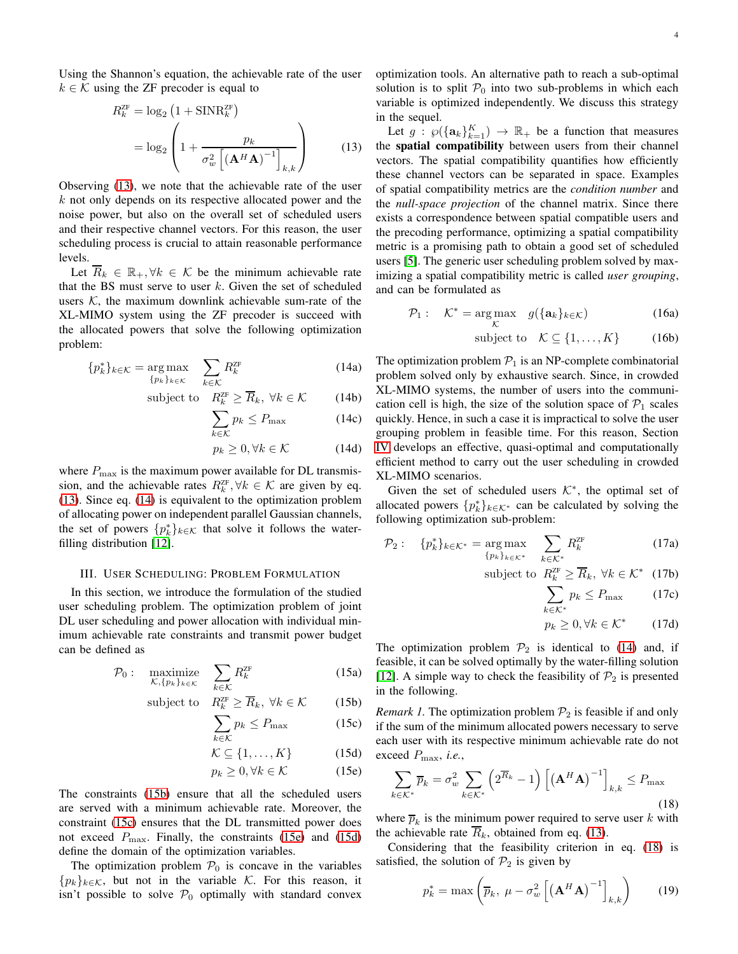Using the Shannon's equation, the achievable rate of the user  $k \in \mathcal{K}$  using the ZF precoder is equal to

$$
R_k^{ZF} = \log_2 \left( 1 + \text{SINR}_k^{ZF} \right)
$$
  
= 
$$
\log_2 \left( 1 + \frac{p_k}{\sigma_w^2 \left[ \left( \mathbf{A}^H \mathbf{A} \right)^{-1} \right]_{k,k}} \right)
$$
 (13)

Observing [\(13\)](#page-3-0), we note that the achievable rate of the user  $k$  not only depends on its respective allocated power and the noise power, but also on the overall set of scheduled users and their respective channel vectors. For this reason, the user scheduling process is crucial to attain reasonable performance levels.

Let  $\overline{R}_k \in \mathbb{R}_+$ ,  $\forall k \in \mathcal{K}$  be the minimum achievable rate that the BS must serve to user  $k$ . Given the set of scheduled users  $K$ , the maximum downlink achievable sum-rate of the XL-MIMO system using the ZF precoder is succeed with the allocated powers that solve the following optimization problem:

<span id="page-3-1"></span>
$$
\{p_k^*\}_{k \in \mathcal{K}} = \underset{\{p_k\}_{k \in \mathcal{K}}}{\arg \max} \quad \sum_{k \in \mathcal{K}} R_k^{\text{ZF}} \tag{14a}
$$

subject to 
$$
R_k^{\text{ZF}} \ge \overline{R}_k, \ \forall k \in \mathcal{K}
$$
 (14b)

$$
\sum_{k \in \mathcal{K}} p_k \le P_{\text{max}} \tag{14c}
$$

$$
p_k \ge 0, \forall k \in \mathcal{K} \tag{14d}
$$

where  $P_{\text{max}}$  is the maximum power available for DL transmission, and the achievable rates  $R_k^{\text{ZF}}, \forall k \in \mathcal{K}$  are given by eq. [\(13\)](#page-3-0). Since eq. [\(14\)](#page-3-1) is equivalent to the optimization problem of allocating power on independent parallel Gaussian channels, the set of powers  $\{p_k^*\}_{k \in \mathcal{K}}$  that solve it follows the waterfilling distribution [\[12\]](#page-11-11).

## <span id="page-3-9"></span>III. USER SCHEDULING: PROBLEM FORMULATION

In this section, we introduce the formulation of the studied user scheduling problem. The optimization problem of joint DL user scheduling and power allocation with individual minimum achievable rate constraints and transmit power budget can be defined as

$$
\mathcal{P}_0: \quad \underset{\mathcal{K}, \{p_k\}_k \in \mathcal{K}}{\text{maximize}} \quad \sum_{k \in \mathcal{K}} R_k^{\text{ZF}} \tag{15a}
$$

subject to 
$$
R_k^{\text{ZF}} \ge \overline{R}_k, \ \forall k \in \mathcal{K}
$$
 (15b)

$$
\sum_{k \in \mathcal{K}} p_k \le P_{\text{max}} \tag{15c}
$$

$$
\mathcal{K} \subseteq \{1, \dots, K\} \tag{15d}
$$

$$
p_k \ge 0, \forall k \in \mathcal{K} \tag{15e}
$$

The constraints [\(15b\)](#page-3-2) ensure that all the scheduled users are served with a minimum achievable rate. Moreover, the constraint [\(15c\)](#page-3-3) ensures that the DL transmitted power does not exceed  $P_{\text{max}}$ . Finally, the constraints [\(15e\)](#page-3-4) and [\(15d\)](#page-3-5) define the domain of the optimization variables.

The optimization problem  $P_0$  is concave in the variables  ${p_k}_{k \in \mathcal{K}}$ , but not in the variable K. For this reason, it isn't possible to solve  $P_0$  optimally with standard convex optimization tools. An alternative path to reach a sub-optimal solution is to split  $P_0$  into two sub-problems in which each variable is optimized independently. We discuss this strategy in the sequel.

<span id="page-3-0"></span>Let  $g: \wp(\{\mathbf{a}_k\}_{k=1}^K) \to \mathbb{R}_+$  be a function that measures the spatial compatibility between users from their channel vectors. The spatial compatibility quantifies how efficiently these channel vectors can be separated in space. Examples of spatial compatibility metrics are the *condition number* and the *null-space projection* of the channel matrix. Since there exists a correspondence between spatial compatible users and the precoding performance, optimizing a spatial compatibility metric is a promising path to obtain a good set of scheduled users [\[5\]](#page-11-4). The generic user scheduling problem solved by maximizing a spatial compatibility metric is called *user grouping*, and can be formulated as

$$
\mathcal{P}_1: \quad \mathcal{K}^* = \underset{\mathcal{K}}{\text{arg}\max} \quad g(\{\mathbf{a}_k\}_{k \in \mathcal{K}}) \tag{16a}
$$

subject to 
$$
\mathcal{K} \subseteq \{1, ..., K\}
$$
 (16b)

The optimization problem  $P_1$  is an NP-complete combinatorial problem solved only by exhaustive search. Since, in crowded XL-MIMO systems, the number of users into the communication cell is high, the size of the solution space of  $P_1$  scales quickly. Hence, in such a case it is impractical to solve the user grouping problem in feasible time. For this reason, Section [IV](#page-5-0) develops an effective, quasi-optimal and computationally efficient method to carry out the user scheduling in crowded XL-MIMO scenarios.

Given the set of scheduled users  $K^*$ , the optimal set of allocated powers  $\{p_k^*\}_{k \in \mathcal{K}^*}$  can be calculated by solving the following optimization sub-problem:

$$
\mathcal{P}_2: \quad \{p_k^*\}_{k \in \mathcal{K}^*} = \underset{\{p_k\}_{k \in \mathcal{K}^*}}{\arg \max} \quad \sum_{k \in \mathcal{K}^*} R_k^{\text{ZF}} \tag{17a}
$$

subject to 
$$
R_k^{\text{ZF}} \geq \overline{R}_k, \ \forall k \in \mathcal{K}^*
$$
 (17b)

<span id="page-3-8"></span><span id="page-3-7"></span>
$$
\sum_{k \in \mathcal{K}^*} p_k \le P_{\text{max}} \qquad (17c)
$$

$$
p_k \ge 0, \forall k \in \mathcal{K}^* \qquad (17d)
$$

The optimization problem  $\mathcal{P}_2$  is identical to [\(14\)](#page-3-1) and, if feasible, it can be solved optimally by the water-filling solution [\[12\]](#page-11-11). A simple way to check the feasibility of  $\mathcal{P}_2$  is presented in the following.

<span id="page-3-5"></span><span id="page-3-3"></span><span id="page-3-2"></span>*Remark 1.* The optimization problem  $\mathcal{P}_2$  is feasible if and only if the sum of the minimum allocated powers necessary to serve each user with its respective minimum achievable rate do not exceed Pmax, *i.e.*,

<span id="page-3-6"></span><span id="page-3-4"></span>
$$
\sum_{k \in \mathcal{K}^*} \overline{p}_k = \sigma_w^2 \sum_{k \in \mathcal{K}^*} \left( 2^{\overline{R}_k} - 1 \right) \left[ \left( \mathbf{A}^H \mathbf{A} \right)^{-1} \right]_{k,k} \le P_{\text{max}} \tag{18}
$$

where  $\overline{p}_k$  is the minimum power required to serve user k with the achievable rate  $\overline{R}_k$ , obtained from eq. [\(13\)](#page-3-0).

Considering that the feasibility criterion in eq. [\(18\)](#page-3-6) is satisfied, the solution of  $\mathcal{P}_2$  is given by

$$
p_k^* = \max\left(\overline{p}_k, \ \mu - \sigma_w^2 \left[ \left( \mathbf{A}^H \mathbf{A} \right)^{-1} \right]_{k,k} \right) \tag{19}
$$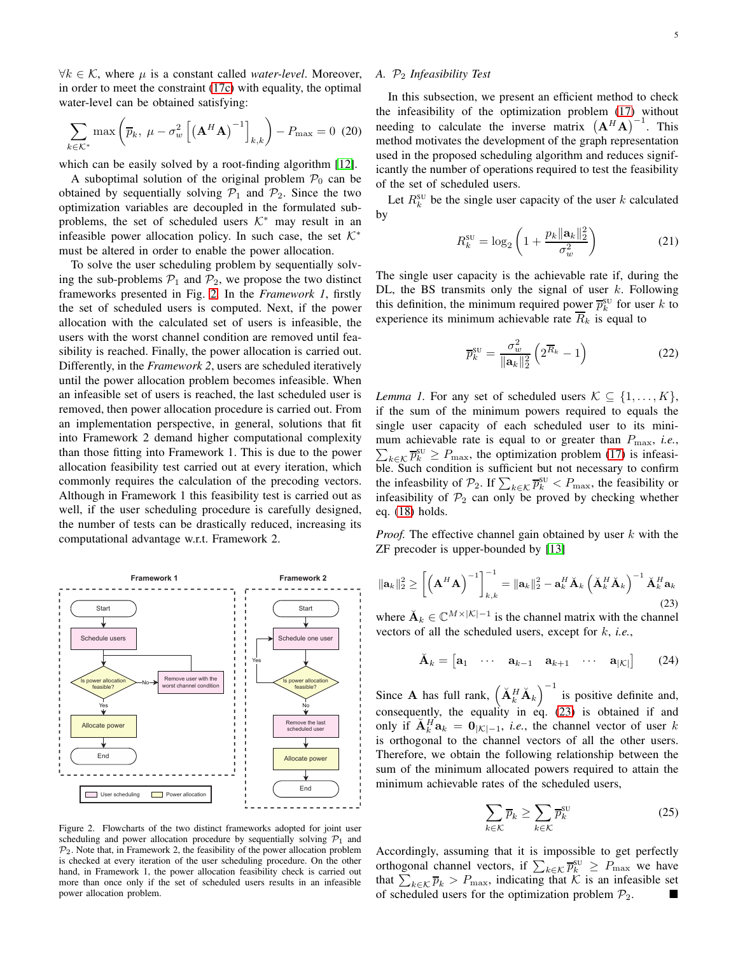$\forall k \in \mathcal{K}$ , where  $\mu$  is a constant called *water-level*. Moreover, in order to meet the constraint [\(17c\)](#page-3-7) with equality, the optimal water-level can be obtained satisfying:

$$
\sum_{k \in \mathcal{K}^*} \max \left( \overline{p}_k, \ \mu - \sigma_w^2 \left[ \left( \mathbf{A}^H \mathbf{A} \right)^{-1} \right]_{k,k} \right) - P_{\text{max}} = 0 \tag{20}
$$

which can be easily solved by a root-finding algorithm [\[12\]](#page-11-11).

A suboptimal solution of the original problem  $P_0$  can be obtained by sequentially solving  $P_1$  and  $P_2$ . Since the two optimization variables are decoupled in the formulated subproblems, the set of scheduled users  $K^*$  may result in an infeasible power allocation policy. In such case, the set  $K^*$ must be altered in order to enable the power allocation.

To solve the user scheduling problem by sequentially solving the sub-problems  $\mathcal{P}_1$  and  $\mathcal{P}_2$ , we propose the two distinct frameworks presented in Fig. [2.](#page-4-0) In the *Framework 1*, firstly the set of scheduled users is computed. Next, if the power allocation with the calculated set of users is infeasible, the users with the worst channel condition are removed until feasibility is reached. Finally, the power allocation is carried out. Differently, in the *Framework 2*, users are scheduled iteratively until the power allocation problem becomes infeasible. When an infeasible set of users is reached, the last scheduled user is removed, then power allocation procedure is carried out. From an implementation perspective, in general, solutions that fit into Framework 2 demand higher computational complexity than those fitting into Framework 1. This is due to the power allocation feasibility test carried out at every iteration, which commonly requires the calculation of the precoding vectors. Although in Framework 1 this feasibility test is carried out as well, if the user scheduling procedure is carefully designed, the number of tests can be drastically reduced, increasing its computational advantage w.r.t. Framework 2.



<span id="page-4-0"></span>Figure 2. Flowcharts of the two distinct frameworks adopted for joint user scheduling and power allocation procedure by sequentially solving  $P_1$  and  $\mathcal{P}_2$ . Note that, in Framework 2, the feasibility of the power allocation problem is checked at every iteration of the user scheduling procedure. On the other hand, in Framework 1, the power allocation feasibility check is carried out more than once only if the set of scheduled users results in an infeasible power allocation problem.

## *A.* P<sup>2</sup> *Infeasibility Test*

In this subsection, we present an efficient method to check the infeasibility of the optimization problem [\(17\)](#page-3-8) without needing to calculate the inverse matrix  $(A^H A)^{-1}$ . This method motivates the development of the graph representation used in the proposed scheduling algorithm and reduces significantly the number of operations required to test the feasibility of the set of scheduled users.

Let  $R_k^{\text{SU}}$  be the single user capacity of the user k calculated by

$$
R_k^{\text{SU}} = \log_2 \left( 1 + \frac{p_k \|\mathbf{a}_k\|_2^2}{\sigma_w^2} \right) \tag{21}
$$

The single user capacity is the achievable rate if, during the DL, the BS transmits only the signal of user  $k$ . Following this definition, the minimum required power  $\overline{p}_k^{\text{SU}}$  for user k to experience its minimum achievable rate  $\overline{R}_k$  is equal to

$$
\overline{p}_k^{\text{SU}} = \frac{\sigma_w^2}{\|\mathbf{a}_k\|_2^2} \left(2^{\overline{R}_k} - 1\right) \tag{22}
$$

*Lemma 1.* For any set of scheduled users  $K \subseteq \{1, \ldots, K\}$ , if the sum of the minimum powers required to equals the single user capacity of each scheduled user to its mini- $\sum_{k \in \mathcal{K}} \overline{p}_k^{\text{SU}} \ge P_{\text{max}}$ , the optimization problem [\(17\)](#page-3-8) is infeasimum achievable rate is equal to or greater than  $P_{\text{max}}$ , *i.e.*, ble. Such condition is sufficient but not necessary to confirm the infeasbility of  $\mathcal{P}_2$ . If  $\sum_{k \in \mathcal{K}} \overline{p}_k^{\text{SU}} < P_{\text{max}}$ , the feasibility or infeasibility of  $\mathcal{P}_2$  can only be proved by checking whether eq. [\(18\)](#page-3-6) holds.

*Proof.* The effective channel gain obtained by user k with the ZF precoder is upper-bounded by [\[13\]](#page-11-12)

<span id="page-4-1"></span>
$$
\|\mathbf{a}_{k}\|_{2}^{2} \geq \left[\left(\mathbf{A}^{H}\mathbf{A}\right)^{-1}\right]_{k,k}^{-1} = \|\mathbf{a}_{k}\|_{2}^{2} - \mathbf{a}_{k}^{H}\check{\mathbf{A}}_{k}\left(\check{\mathbf{A}}_{k}^{H}\check{\mathbf{A}}_{k}\right)^{-1}\check{\mathbf{A}}_{k}^{H}\mathbf{a}_{k}
$$
\n(23)

where  $\mathbf{A}_k \in \mathbb{C}^{M \times |\mathcal{K}| - 1}$  is the channel matrix with the channel vectors of all the scheduled users, except for k, *i.e.*,

$$
\breve{\mathbf{A}}_k = \begin{bmatrix} \mathbf{a}_1 & \cdots & \mathbf{a}_{k-1} & \mathbf{a}_{k+1} & \cdots & \mathbf{a}_{|K|} \end{bmatrix} \tag{24}
$$

Since **A** has full rank,  $\left(\check{A}_{k}^{H}\check{A}_{k}\right)^{-1}$  is positive definite and, consequently, the equality in eq.  $(23)$  is obtained if and only if  $\breve{A}_k^H a_k = 0_{|\mathcal{K}|-1}$ , *i.e.*, the channel vector of user k is orthogonal to the channel vectors of all the other users. Therefore, we obtain the following relationship between the sum of the minimum allocated powers required to attain the minimum achievable rates of the scheduled users,

$$
\sum_{k \in \mathcal{K}} \overline{p}_k \ge \sum_{k \in \mathcal{K}} \overline{p}_k^{\text{SU}} \tag{25}
$$

Accordingly, assuming that it is impossible to get perfectly orthogonal channel vectors, if  $\sum_{k \in \mathcal{K}} \overline{p}_k^{\text{SU}} \geq P_{\text{max}}$  we have that  $\sum_{k \in \mathcal{K}} \overline{p}_k > P_{\text{max}}$ , indicating that  $\mathcal{K}$  is an infeasible set of scheduled users for the optimization problem  $\mathcal{P}_2$ .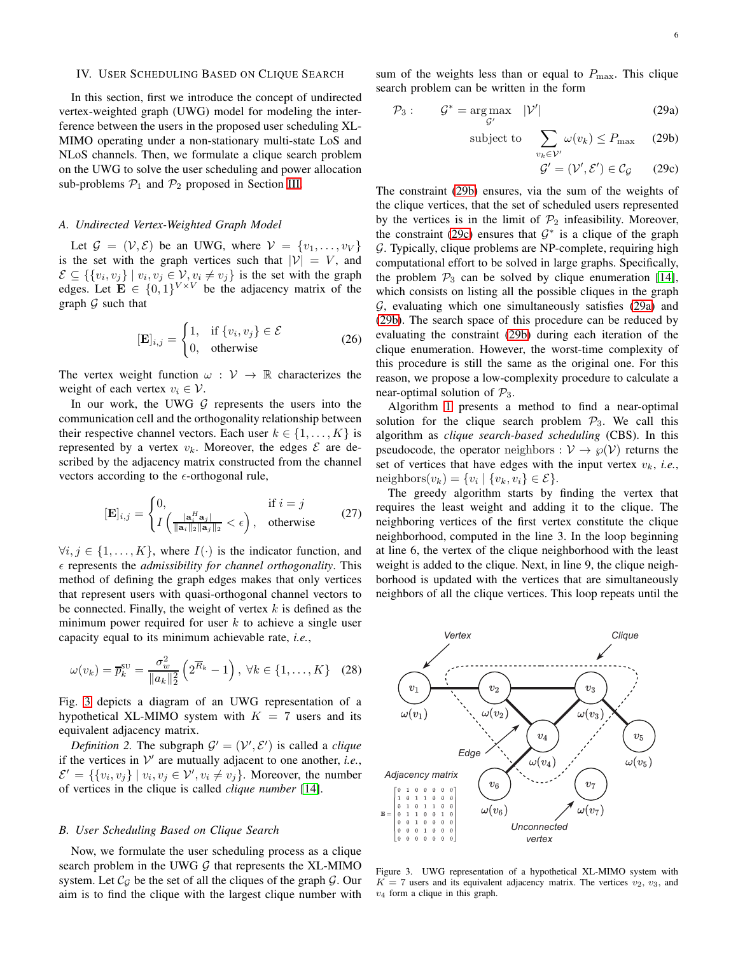# <span id="page-5-0"></span>IV. USER SCHEDULING BASED ON CLIQUE SEARCH

In this section, first we introduce the concept of undirected vertex-weighted graph (UWG) model for modeling the interference between the users in the proposed user scheduling XL-MIMO operating under a non-stationary multi-state LoS and NLoS channels. Then, we formulate a clique search problem on the UWG to solve the user scheduling and power allocation sub-problems  $P_1$  and  $P_2$  proposed in Section [III.](#page-3-9)

## *A. Undirected Vertex-Weighted Graph Model*

Let  $\mathcal{G} = (\mathcal{V}, \mathcal{E})$  be an UWG, where  $\mathcal{V} = \{v_1, \dots, v_V\}$ is the set with the graph vertices such that  $|V| = V$ , and  $\mathcal{E} \subseteq \{ \{v_i, v_j\} \mid v_i, v_j \in \mathcal{V}, v_i \neq v_j \}$  is the set with the graph edges. Let  $\mathbf{E} \in \{0,1\}^{V \times V}$  be the adjacency matrix of the graph  $G$  such that

$$
[\mathbf{E}]_{i,j} = \begin{cases} 1, & \text{if } \{v_i, v_j\} \in \mathcal{E} \\ 0, & \text{otherwise} \end{cases}
$$
 (26)

The vertex weight function  $\omega : V \to \mathbb{R}$  characterizes the weight of each vertex  $v_i \in \mathcal{V}$ .

In our work, the UWG  $G$  represents the users into the communication cell and the orthogonality relationship between their respective channel vectors. Each user  $k \in \{1, \ldots, K\}$  is represented by a vertex  $v_k$ . Moreover, the edges  $\mathcal E$  are described by the adjacency matrix constructed from the channel vectors according to the  $\epsilon$ -orthogonal rule,

$$
[\mathbf{E}]_{i,j} = \begin{cases} 0, & \text{if } i = j \\ I\left(\frac{|\mathbf{a}_i^H \mathbf{a}_j|}{\|\mathbf{a}_i\|_2 \|\mathbf{a}_j\|_2} < \epsilon\right), & \text{otherwise} \end{cases} \tag{27}
$$

 $\forall i, j \in \{1, \ldots, K\}$ , where  $I(\cdot)$  is the indicator function, and  $\epsilon$  represents the *admissibility for channel orthogonality*. This method of defining the graph edges makes that only vertices that represent users with quasi-orthogonal channel vectors to be connected. Finally, the weight of vertex  $k$  is defined as the minimum power required for user  $k$  to achieve a single user capacity equal to its minimum achievable rate, *i.e.*,

$$
\omega(v_k) = \overline{p}_k^{\text{SU}} = \frac{\sigma_w^2}{\|a_k\|_2^2} \left(2^{\overline{R}_k} - 1\right), \ \forall k \in \{1, \dots, K\} \quad (28)
$$

Fig. [3](#page-5-1) depicts a diagram of an UWG representation of a hypothetical XL-MIMO system with  $K = 7$  users and its equivalent adjacency matrix.

*Definition 2.* The subgraph  $G' = (V', E')$  is called a *clique* if the vertices in  $V'$  are mutually adjacent to one another, *i.e.*,  $\mathcal{E}' = \{ \{v_i, v_j\} \mid v_i, v_j \in \mathcal{V}', v_i \neq v_j \}.$  Moreover, the number of vertices in the clique is called *clique number* [\[14\]](#page-11-13).

#### *B. User Scheduling Based on Clique Search*

Now, we formulate the user scheduling process as a clique search problem in the UWG  $G$  that represents the XL-MIMO system. Let  $\mathcal{C}_{\mathcal{G}}$  be the set of all the cliques of the graph  $\mathcal{G}$ . Our aim is to find the clique with the largest clique number with sum of the weights less than or equal to  $P_{\text{max}}$ . This clique search problem can be written in the form

$$
\mathcal{P}_3: \qquad \mathcal{G}^* = \underset{\mathcal{G}'}{\arg \max} \quad |\mathcal{V}'| \tag{29a}
$$

subject to 
$$
\sum_{v_k \in \mathcal{V}'} \omega(v_k) \le P_{\text{max}} \quad (29b)
$$

<span id="page-5-4"></span><span id="page-5-3"></span><span id="page-5-2"></span>
$$
\mathcal{G}' = (\mathcal{V}', \mathcal{E}') \in \mathcal{C}_{\mathcal{G}} \qquad (29c)
$$

The constraint [\(29b\)](#page-5-2) ensures, via the sum of the weights of the clique vertices, that the set of scheduled users represented by the vertices is in the limit of  $\mathcal{P}_2$  infeasibility. Moreover, the constraint [\(29c\)](#page-5-3) ensures that  $\mathcal{G}^*$  is a clique of the graph G. Typically, clique problems are NP-complete, requiring high computational effort to be solved in large graphs. Specifically, the problem  $\mathcal{P}_3$  can be solved by clique enumeration [\[14\]](#page-11-13), which consists on listing all the possible cliques in the graph  $G$ , evaluating which one simultaneously satisfies  $(29a)$  and [\(29b\)](#page-5-2). The search space of this procedure can be reduced by evaluating the constraint [\(29b\)](#page-5-2) during each iteration of the clique enumeration. However, the worst-time complexity of this procedure is still the same as the original one. For this reason, we propose a low-complexity procedure to calculate a near-optimal solution of  $P_3$ .

Algorithm [1](#page-6-0) presents a method to find a near-optimal solution for the clique search problem  $P_3$ . We call this algorithm as *clique search-based scheduling* (CBS). In this pseudocode, the operator neighbors :  $V \rightarrow \wp(V)$  returns the set of vertices that have edges with the input vertex  $v_k$ , *i.e.*, neighbors $(v_k) = \{v_i \mid \{v_k, v_i\} \in \mathcal{E}\}.$ 

The greedy algorithm starts by finding the vertex that requires the least weight and adding it to the clique. The neighboring vertices of the first vertex constitute the clique neighborhood, computed in the line 3. In the loop beginning at line 6, the vertex of the clique neighborhood with the least weight is added to the clique. Next, in line 9, the clique neighborhood is updated with the vertices that are simultaneously neighbors of all the clique vertices. This loop repeats until the



<span id="page-5-1"></span>Figure 3. UWG representation of a hypothetical XL-MIMO system with  $K = 7$  users and its equivalent adjacency matrix. The vertices  $v_2$ ,  $v_3$ , and  $v_4$  form a clique in this graph.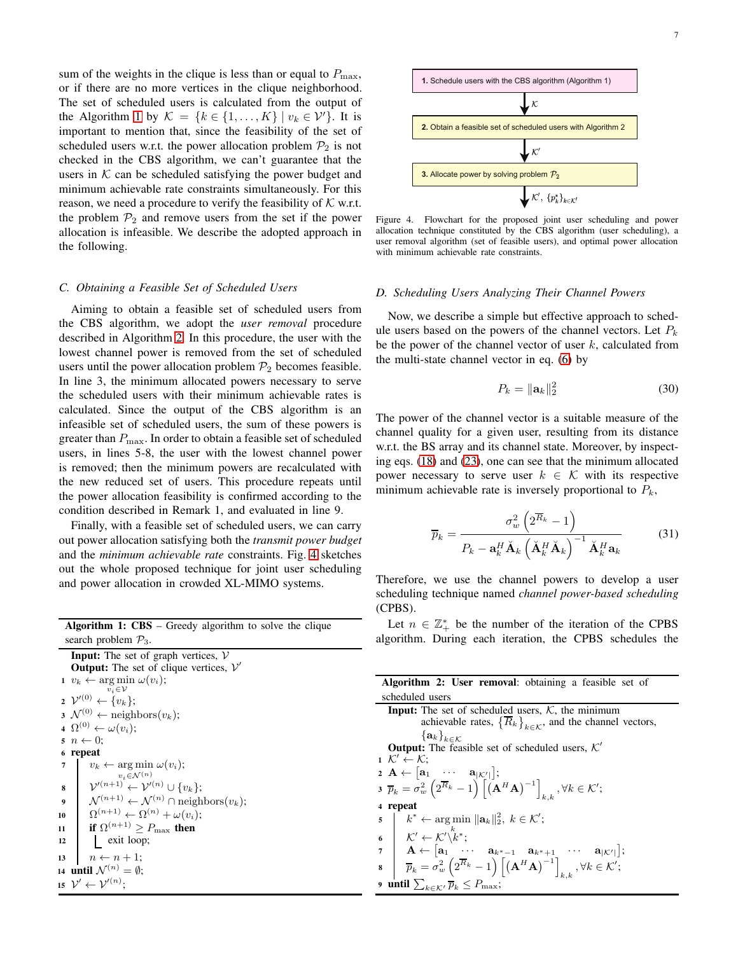sum of the weights in the clique is less than or equal to  $P_{\text{max}}$ , or if there are no more vertices in the clique neighborhood. The set of scheduled users is calculated from the output of the Algorithm [1](#page-6-0) by  $\mathcal{K} = \{k \in \{1, ..., K\} \mid v_k \in \mathcal{V}'\}$ . It is important to mention that, since the feasibility of the set of scheduled users w.r.t. the power allocation problem  $\mathcal{P}_2$  is not checked in the CBS algorithm, we can't guarantee that the users in  $K$  can be scheduled satisfying the power budget and minimum achievable rate constraints simultaneously. For this reason, we need a procedure to verify the feasibility of  $K$  w.r.t. the problem  $\mathcal{P}_2$  and remove users from the set if the power allocation is infeasible. We describe the adopted approach in the following.

#### <span id="page-6-3"></span>*C. Obtaining a Feasible Set of Scheduled Users*

Aiming to obtain a feasible set of scheduled users from the CBS algorithm, we adopt the *user removal* procedure described in Algorithm [2.](#page-6-1) In this procedure, the user with the lowest channel power is removed from the set of scheduled users until the power allocation problem  $\mathcal{P}_2$  becomes feasible. In line 3, the minimum allocated powers necessary to serve the scheduled users with their minimum achievable rates is calculated. Since the output of the CBS algorithm is an infeasible set of scheduled users, the sum of these powers is greater than  $P_{\text{max}}$ . In order to obtain a feasible set of scheduled users, in lines 5-8, the user with the lowest channel power is removed; then the minimum powers are recalculated with the new reduced set of users. This procedure repeats until the power allocation feasibility is confirmed according to the condition described in Remark 1, and evaluated in line 9.

Finally, with a feasible set of scheduled users, we can carry out power allocation satisfying both the *transmit power budget* and the *minimum achievable rate* constraints. Fig. [4](#page-6-2) sketches out the whole proposed technique for joint user scheduling and power allocation in crowded XL-MIMO systems.

| <b>Algorithm 1: CBS</b> – Greedy algorithm to solve the clique |  |  |
|----------------------------------------------------------------|--|--|
| search problem $\mathcal{P}_3$ .                               |  |  |

<span id="page-6-0"></span>

|                  | <b>Input:</b> The set of graph vertices, $V$                                   |  |  |  |  |
|------------------|--------------------------------------------------------------------------------|--|--|--|--|
|                  | <b>Output:</b> The set of clique vertices, $V'$                                |  |  |  |  |
|                  | $v_k \leftarrow \arg \min \omega(v_i);$                                        |  |  |  |  |
|                  | $v_i \in \mathcal{V}$                                                          |  |  |  |  |
|                  | $2 \mathcal{V}'^{(0)} \leftarrow \{v_k\};$                                     |  |  |  |  |
|                  | $\mathfrak{z} \,\, \mathcal{N}^{(0)} \leftarrow \text{neighbors}(v_k);$        |  |  |  |  |
|                  | 4 $\Omega^{(0)} \leftarrow \omega(v_i);$                                       |  |  |  |  |
|                  | $n \leftarrow 0$ ;                                                             |  |  |  |  |
| 6                | repeat                                                                         |  |  |  |  |
| 7                | $v_k \leftarrow \arg \min \omega(v_i);$                                        |  |  |  |  |
|                  | $v_i \in \mathcal{N}^{(n)}$                                                    |  |  |  |  |
| 8                | $\mathcal{V}'^{(n+1)} \leftarrow \mathcal{V}'^{(n)} \cup \{v_k\};$             |  |  |  |  |
| $\boldsymbol{9}$ | $\mathcal{N}^{(n+1)} \leftarrow \mathcal{N}^{(n)} \cap \text{neighbors}(v_k);$ |  |  |  |  |
| 10               | $\Omega^{(n+1)} \leftarrow \Omega^{(n)} + \omega(v_i);$                        |  |  |  |  |
| 11               | if $\Omega^{(n+1)} \geq P_{\text{max}}$ then                                   |  |  |  |  |
| 12               | exit loop;                                                                     |  |  |  |  |
| 13               | $n \leftarrow n+1$ ;                                                           |  |  |  |  |
|                  | 14 until $\mathcal{N}^{(n)} = \emptyset$ :                                     |  |  |  |  |
|                  | 15 $\mathcal{V}' \leftarrow \mathcal{V}'^{(n)}$ :                              |  |  |  |  |
|                  |                                                                                |  |  |  |  |



<span id="page-6-2"></span>Figure 4. Flowchart for the proposed joint user scheduling and power allocation technique constituted by the CBS algorithm (user scheduling), a user removal algorithm (set of feasible users), and optimal power allocation with minimum achievable rate constraints.

## *D. Scheduling Users Analyzing Their Channel Powers*

Now, we describe a simple but effective approach to schedule users based on the powers of the channel vectors. Let  $P_k$ be the power of the channel vector of user  $k$ , calculated from the multi-state channel vector in eq. [\(6\)](#page-2-2) by

$$
P_k = \|\mathbf{a}_k\|_2^2 \tag{30}
$$

The power of the channel vector is a suitable measure of the channel quality for a given user, resulting from its distance w.r.t. the BS array and its channel state. Moreover, by inspecting eqs. [\(18\)](#page-3-6) and [\(23\)](#page-4-1), one can see that the minimum allocated power necessary to serve user  $k \in \mathcal{K}$  with its respective minimum achievable rate is inversely proportional to  $P_k$ ,

$$
\overline{p}_k = \frac{\sigma_w^2 \left(2^{\overline{R}_k} - 1\right)}{P_k - \mathbf{a}_k^H \check{\mathbf{A}}_k \left(\check{\mathbf{A}}_k^H \check{\mathbf{A}}_k\right)^{-1} \check{\mathbf{A}}_k^H \mathbf{a}_k}
$$
(31)

Therefore, we use the channel powers to develop a user scheduling technique named *channel power-based scheduling* (CPBS).

Let  $n \in \mathbb{Z}_+^*$  be the number of the iteration of the CPBS algorithm. During each iteration, the CPBS schedules the

<span id="page-6-1"></span>

| <b>Algorithm 2: User removal:</b> obtaining a feasible set of                                                                                                                                                                                                                                                                                                                                                                                     |  |  |
|---------------------------------------------------------------------------------------------------------------------------------------------------------------------------------------------------------------------------------------------------------------------------------------------------------------------------------------------------------------------------------------------------------------------------------------------------|--|--|
| scheduled users                                                                                                                                                                                                                                                                                                                                                                                                                                   |  |  |
| <b>Input:</b> The set of scheduled users, $K$ , the minimum                                                                                                                                                                                                                                                                                                                                                                                       |  |  |
| achievable rates, $\left\{ \overline{R}_k \right\}_{k \in \mathcal{K}}$ , and the channel vectors,                                                                                                                                                                                                                                                                                                                                                |  |  |
| ${a_k}_{k \in \mathcal{K}}$                                                                                                                                                                                                                                                                                                                                                                                                                       |  |  |
| <b>Output:</b> The feasible set of scheduled users, $K'$                                                                                                                                                                                                                                                                                                                                                                                          |  |  |
| $1 \mathcal{K}' \leftarrow \mathcal{K}$ :                                                                                                                                                                                                                                                                                                                                                                                                         |  |  |
| $2 \mathbf{A} \leftarrow  \mathbf{a}_1 \cdots \mathbf{a}_{ \mathcal{K}' }  ;$                                                                                                                                                                                                                                                                                                                                                                     |  |  |
| $\overline{p}_k = \sigma_w^2 \left( 2^{\overline{R}_k} - 1 \right) \left[ \left( \mathbf{A}^H \mathbf{A} \right)^{-1} \right]_{k,k}, \forall k \in \mathcal{K}';$                                                                                                                                                                                                                                                                                 |  |  |
| 4 repeat                                                                                                                                                                                                                                                                                                                                                                                                                                          |  |  |
|                                                                                                                                                                                                                                                                                                                                                                                                                                                   |  |  |
|                                                                                                                                                                                                                                                                                                                                                                                                                                                   |  |  |
|                                                                                                                                                                                                                                                                                                                                                                                                                                                   |  |  |
| 5<br>6<br>$\begin{bmatrix}\n k^* \leftarrow \arg \min \ \mathbf{a}_k\ _2^2, \ k \in \mathcal{K}';\n\end{bmatrix}$<br>6<br>$\mathcal{K}' \leftarrow \mathcal{K}' \backslash k^*;$<br>7<br>$\mathbf{A} \leftarrow [\mathbf{a}_1 \cdots \mathbf{a}_{k^*-1} \mathbf{a}_{k^*+1} \cdots \mathbf{a}_{ \mathcal{K}' }];$<br>8<br>$\overline{p}_k = \sigma_w^2 \left( 2^{\overline{R}_k} - 1 \right) \left[ \left( \mathbf{A}^H \mathbf{A} \right)^{-1} \$ |  |  |
| 9 until $\sum_{k \in \mathcal{K}'} \overline{p}_k \leq P_{\text{max}};$                                                                                                                                                                                                                                                                                                                                                                           |  |  |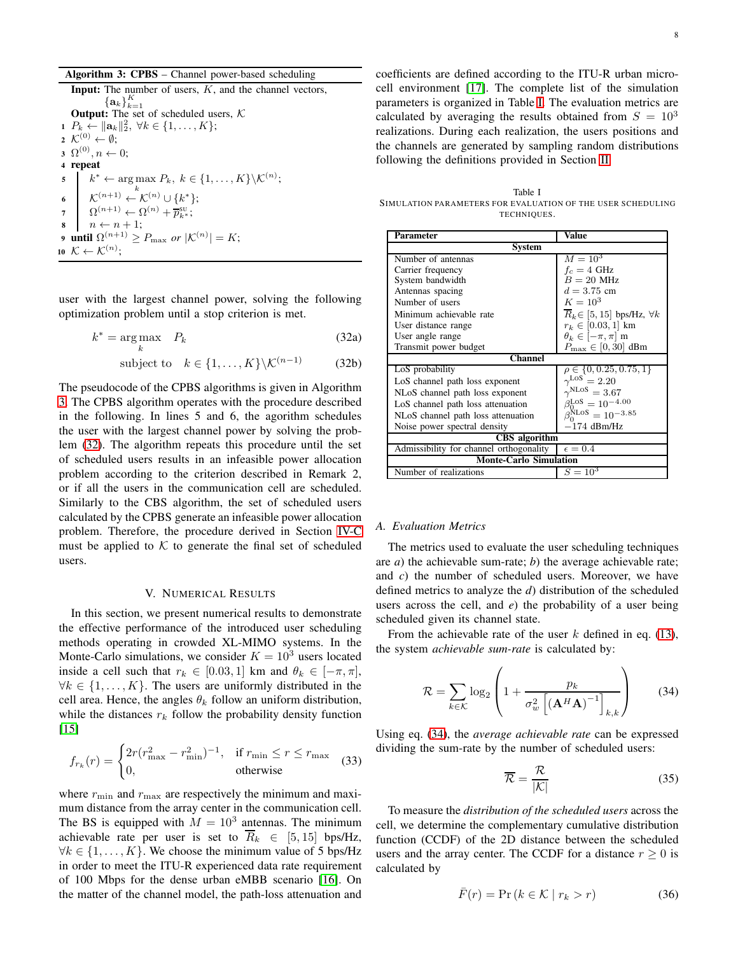| Algorithm 3: CPBS - Channel power-based scheduling |  |  |  |  |
|----------------------------------------------------|--|--|--|--|
|----------------------------------------------------|--|--|--|--|

**Input:** The number of users,  $K$ , and the channel vectors,  $\{{\bf a}_k\}_{k=1}^K$ **Output:** The set of scheduled users,  $K$ 1  $P_k \leftarrow ||\mathbf{a}_k||_2^2, \ \forall k \in \{1, \ldots, K\};$  $\lambda \colon \mathcal{K}^{(0)} \leftarrow \emptyset;$  $3\;\: {\Omega}^{(0)}, n \leftarrow 0;$ <sup>4</sup> repeat  $\mathfrak{s} \quad \mid \quad k^* \leftarrow \argmax P_k, \ k \in \{1, \ldots, K\} \backslash \mathcal{K}^{(n)};$ 6  $\left\{ \mathcal{K}^{(n+1)} \leftarrow \mathcal{K}^{(n)} \cup \{k^*\};\right.$  $\eta \quad \Omega^{(n+1)} \leftarrow \Omega^{(n)} + \overline{p}_{k^*}^{\text{SU}};$ 8  $n \leftarrow n + 1;$ 9 until  $\Omega^{(n+1)} \geq P_{\max}$  or  $|\mathcal{K}^{(n)}| = K;$ 10  $\mathcal{K} \leftarrow \mathcal{K}^{(n)}$ ;

<span id="page-7-0"></span>user with the largest channel power, solving the following optimization problem until a stop criterion is met.

$$
k^* = \underset{k}{\text{arg}\max} \quad P_k \tag{32a}
$$

subject to 
$$
k \in \{1, ..., K\} \backslash \mathcal{K}^{(n-1)}
$$
 (32b)

The pseudocode of the CPBS algorithms is given in Algorithm [3.](#page-7-0) The CPBS algorithm operates with the procedure described in the following. In lines 5 and 6, the agorithm schedules the user with the largest channel power by solving the problem [\(32\)](#page-7-1). The algorithm repeats this procedure until the set of scheduled users results in an infeasible power allocation problem according to the criterion described in Remark 2, or if all the users in the communication cell are scheduled. Similarly to the CBS algorithm, the set of scheduled users calculated by the CPBS generate an infeasible power allocation problem. Therefore, the procedure derived in Section [IV-C](#page-6-3) must be applied to  $K$  to generate the final set of scheduled users.

#### V. NUMERICAL RESULTS

In this section, we present numerical results to demonstrate the effective performance of the introduced user scheduling methods operating in crowded XL-MIMO systems. In the Monte-Carlo simulations, we consider  $K = 10<sup>3</sup>$  users located inside a cell such that  $r_k \in [0.03, 1]$  km and  $\theta_k \in [-\pi, \pi]$ ,  $\forall k \in \{1, \ldots, K\}$ . The users are uniformly distributed in the cell area. Hence, the angles  $\theta_k$  follow an uniform distribution, while the distances  $r_k$  follow the probability density function [\[15\]](#page-11-14)

$$
f_{r_k}(r) = \begin{cases} 2r(r_{\text{max}}^2 - r_{\text{min}}^2)^{-1}, & \text{if } r_{\text{min}} \le r \le r_{\text{max}}\\ 0, & \text{otherwise} \end{cases}
$$
(33)

where  $r_{\min}$  and  $r_{\max}$  are respectively the minimum and maximum distance from the array center in the communication cell. The BS is equipped with  $M = 10<sup>3</sup>$  antennas. The minimum achievable rate per user is set to  $\overline{R}_k \in [5, 15]$  bps/Hz,  $\forall k \in \{1, \ldots, K\}$ . We choose the minimum value of 5 bps/Hz in order to meet the ITU-R experienced data rate requirement of 100 Mbps for the dense urban eMBB scenario [\[16\]](#page-11-15). On the matter of the channel model, the path-loss attenuation and

coefficients are defined according to the ITU-R urban microcell environment [\[17\]](#page-11-16). The complete list of the simulation parameters is organized in Table [I.](#page-7-2) The evaluation metrics are calculated by averaging the results obtained from  $S = 10^3$ realizations. During each realization, the users positions and the channels are generated by sampling random distributions following the definitions provided in Section [II.](#page-1-1)

<span id="page-7-2"></span>Table I SIMULATION PARAMETERS FOR EVALUATION OF THE USER SCHEDULING TECHNIQUES.

<span id="page-7-1"></span>

| Parameter                               | Value                                            |  |  |  |
|-----------------------------------------|--------------------------------------------------|--|--|--|
| System                                  |                                                  |  |  |  |
| Number of antennas                      | $M = 10^{3}$                                     |  |  |  |
| Carrier frequency                       | $f_c = 4 \text{ GHz}$                            |  |  |  |
| System bandwidth                        | $B = 20$ MHz                                     |  |  |  |
| Antennas spacing                        | $d = 3.75$ cm                                    |  |  |  |
| Number of users                         | $K = 10^3$                                       |  |  |  |
| Minimum achievable rate                 | $\overline{R}_k \in [5, 15]$ bps/Hz, $\forall k$ |  |  |  |
| User distance range                     | $r_k \in [0.03, 1]$ km                           |  |  |  |
| User angle range                        | $\theta_k \in [-\pi, \pi]$ m                     |  |  |  |
| Transmit power budget                   | $P_{\text{max}} \in [0, 30]$ dBm                 |  |  |  |
| <b>Channel</b>                          |                                                  |  |  |  |
| LoS probability                         | $\rho \in \{0, 0.25, 0.75, 1\}$                  |  |  |  |
| LoS channel path loss exponent          | $\gamma^{\text{LoS}}=2.20$                       |  |  |  |
| NLoS channel path loss exponent         | $\gamma^{\text{NLoS}}=3.67$                      |  |  |  |
| LoS channel path loss attenuation       | $\beta_{0}^{\text{LoS}} = 10^{-4.00}$            |  |  |  |
| NLoS channel path loss attenuation      | $\beta_{0}^{NLOS} = 10^{-3.85}$                  |  |  |  |
| Noise power spectral density            | $-174$ dBm/Hz                                    |  |  |  |
| <b>CBS</b> algorithm                    |                                                  |  |  |  |
| Admissibility for channel orthogonality | $\epsilon = 0.4$                                 |  |  |  |
| <b>Monte-Carlo Simulation</b>           |                                                  |  |  |  |
| Number of realizations                  | $S = 10^3$                                       |  |  |  |

#### *A. Evaluation Metrics*

The metrics used to evaluate the user scheduling techniques are *a*) the achievable sum-rate; *b*) the average achievable rate; and *c*) the number of scheduled users. Moreover, we have defined metrics to analyze the *d*) distribution of the scheduled users across the cell, and *e*) the probability of a user being scheduled given its channel state.

From the achievable rate of the user  $k$  defined in eq. [\(13\)](#page-3-0), the system *achievable sum-rate* is calculated by:

<span id="page-7-3"></span>
$$
\mathcal{R} = \sum_{k \in \mathcal{K}} \log_2 \left( 1 + \frac{p_k}{\sigma_w^2 \left[ \left( \mathbf{A}^H \mathbf{A} \right)^{-1} \right]_{k,k}} \right) \tag{34}
$$

Using eq. [\(34\)](#page-7-3), the *average achievable rate* can be expressed dividing the sum-rate by the number of scheduled users:

$$
\overline{\mathcal{R}} = \frac{\mathcal{R}}{|\mathcal{K}|} \tag{35}
$$

To measure the *distribution of the scheduled users* across the cell, we determine the complementary cumulative distribution function (CCDF) of the 2D distance between the scheduled users and the array center. The CCDF for a distance  $r \geq 0$  is calculated by

<span id="page-7-4"></span>
$$
\bar{F}(r) = \Pr\left(k \in \mathcal{K} \mid r_k > r\right) \tag{36}
$$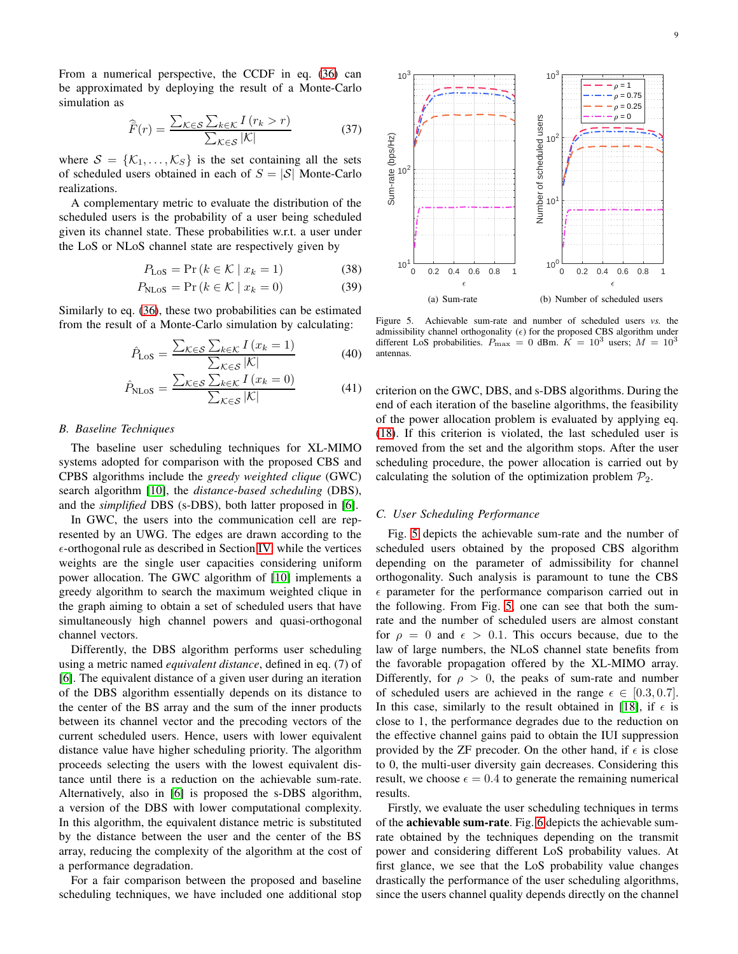From a numerical perspective, the CCDF in eq. [\(36\)](#page-7-4) can be approximated by deploying the result of a Monte-Carlo simulation as

$$
\widehat{\overline{F}}(r) = \frac{\sum_{\mathcal{K} \in \mathcal{S}} \sum_{k \in \mathcal{K}} I(r_k > r)}{\sum_{\mathcal{K} \in \mathcal{S}} |\mathcal{K}|} \tag{37}
$$

where  $S = \{K_1, \ldots, K_S\}$  is the set containing all the sets of scheduled users obtained in each of  $S = |\mathcal{S}|$  Monte-Carlo realizations.

A complementary metric to evaluate the distribution of the scheduled users is the probability of a user being scheduled given its channel state. These probabilities w.r.t. a user under the LoS or NLoS channel state are respectively given by

$$
P_{\text{LoS}} = \Pr\left(k \in \mathcal{K} \mid x_k = 1\right) \tag{38}
$$

$$
P_{\text{NLoS}} = \Pr\left(k \in \mathcal{K} \mid x_k = 0\right) \tag{39}
$$

Similarly to eq. [\(36\)](#page-7-4), these two probabilities can be estimated from the result of a Monte-Carlo simulation by calculating:

$$
\hat{P}_{\text{LoS}} = \frac{\sum_{\mathcal{K} \in \mathcal{S}} \sum_{k \in \mathcal{K}} I(x_k = 1)}{\sum_{\mathcal{K} \in \mathcal{S}} |\mathcal{K}|} \tag{40}
$$

$$
\hat{P}_{\text{NLoS}} = \frac{\sum_{\mathcal{K} \in \mathcal{S}} \sum_{k \in \mathcal{K}} I(x_k = 0)}{\sum_{\mathcal{K} \in \mathcal{S}} |\mathcal{K}|} \tag{41}
$$

## *B. Baseline Techniques*

The baseline user scheduling techniques for XL-MIMO systems adopted for comparison with the proposed CBS and CPBS algorithms include the *greedy weighted clique* (GWC) search algorithm [\[10\]](#page-11-9), the *distance-based scheduling* (DBS), and the *simplified* DBS (s-DBS), both latter proposed in [\[6\]](#page-11-5).

In GWC, the users into the communication cell are represented by an UWG. The edges are drawn according to the  $\epsilon$ -orthogonal rule as described in Section [IV,](#page-5-0) while the vertices weights are the single user capacities considering uniform power allocation. The GWC algorithm of [\[10\]](#page-11-9) implements a greedy algorithm to search the maximum weighted clique in the graph aiming to obtain a set of scheduled users that have simultaneously high channel powers and quasi-orthogonal channel vectors.

Differently, the DBS algorithm performs user scheduling using a metric named *equivalent distance*, defined in eq. (7) of [\[6\]](#page-11-5). The equivalent distance of a given user during an iteration of the DBS algorithm essentially depends on its distance to the center of the BS array and the sum of the inner products between its channel vector and the precoding vectors of the current scheduled users. Hence, users with lower equivalent distance value have higher scheduling priority. The algorithm proceeds selecting the users with the lowest equivalent distance until there is a reduction on the achievable sum-rate. Alternatively, also in [\[6\]](#page-11-5) is proposed the s-DBS algorithm, a version of the DBS with lower computational complexity. In this algorithm, the equivalent distance metric is substituted by the distance between the user and the center of the BS array, reducing the complexity of the algorithm at the cost of a performance degradation.

For a fair comparison between the proposed and baseline scheduling techniques, we have included one additional stop



<span id="page-8-0"></span>Figure 5. Achievable sum-rate and number of scheduled users *vs.* the admissibility channel orthogonality  $(\epsilon)$  for the proposed CBS algorithm under different LoS probabilities.  $P_{\text{max}} = 0$  dBm.  $K = 10^3$  users;  $M = 10^3$ antennas.

criterion on the GWC, DBS, and s-DBS algorithms. During the end of each iteration of the baseline algorithms, the feasibility of the power allocation problem is evaluated by applying eq. [\(18\)](#page-3-6). If this criterion is violated, the last scheduled user is removed from the set and the algorithm stops. After the user scheduling procedure, the power allocation is carried out by calculating the solution of the optimization problem  $\mathcal{P}_2$ .

#### *C. User Scheduling Performance*

Fig. [5](#page-8-0) depicts the achievable sum-rate and the number of scheduled users obtained by the proposed CBS algorithm depending on the parameter of admissibility for channel orthogonality. Such analysis is paramount to tune the CBS  $\epsilon$  parameter for the performance comparison carried out in the following. From Fig. [5,](#page-8-0) one can see that both the sumrate and the number of scheduled users are almost constant for  $\rho = 0$  and  $\epsilon > 0.1$ . This occurs because, due to the law of large numbers, the NLoS channel state benefits from the favorable propagation offered by the XL-MIMO array. Differently, for  $\rho > 0$ , the peaks of sum-rate and number of scheduled users are achieved in the range  $\epsilon \in [0.3, 0.7]$ . In this case, similarly to the result obtained in [\[18\]](#page-11-17), if  $\epsilon$  is close to 1, the performance degrades due to the reduction on the effective channel gains paid to obtain the IUI suppression provided by the ZF precoder. On the other hand, if  $\epsilon$  is close to 0, the multi-user diversity gain decreases. Considering this result, we choose  $\epsilon = 0.4$  to generate the remaining numerical results.

Firstly, we evaluate the user scheduling techniques in terms of the achievable sum-rate. Fig. [6](#page-9-0) depicts the achievable sumrate obtained by the techniques depending on the transmit power and considering different LoS probability values. At first glance, we see that the LoS probability value changes drastically the performance of the user scheduling algorithms, since the users channel quality depends directly on the channel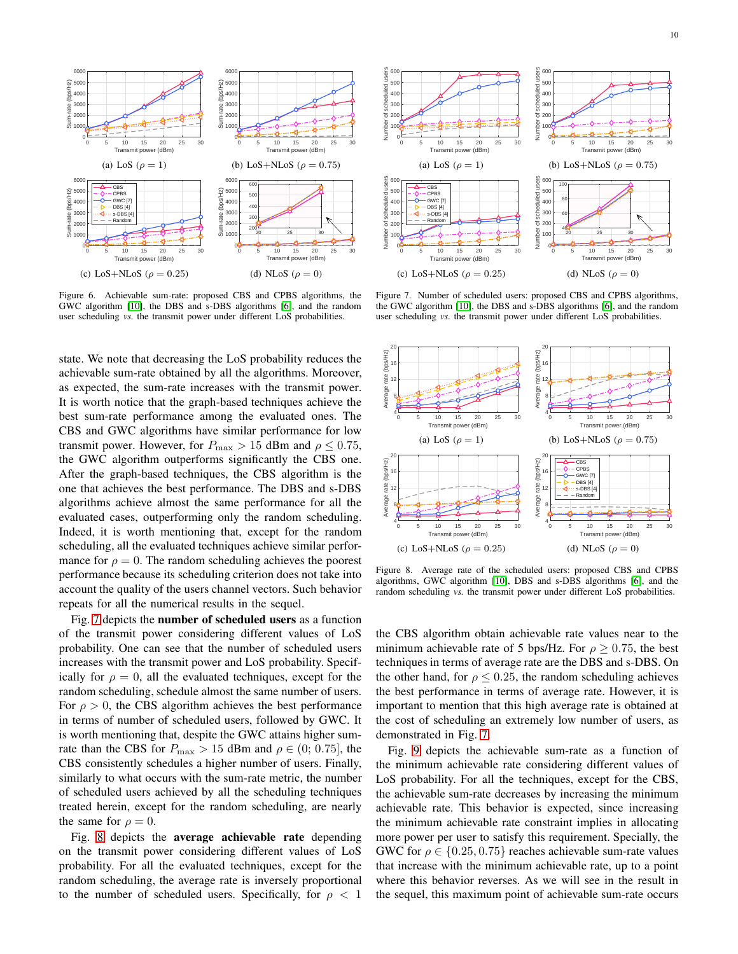

<span id="page-9-0"></span>Figure 6. Achievable sum-rate: proposed CBS and CPBS algorithms, the GWC algorithm [\[10\]](#page-11-9), the DBS and s-DBS algorithms [\[6\]](#page-11-5), and the random user scheduling *vs.* the transmit power under different LoS probabilities.

state. We note that decreasing the LoS probability reduces the achievable sum-rate obtained by all the algorithms. Moreover, as expected, the sum-rate increases with the transmit power. It is worth notice that the graph-based techniques achieve the best sum-rate performance among the evaluated ones. The CBS and GWC algorithms have similar performance for low transmit power. However, for  $P_{\text{max}} > 15$  dBm and  $\rho \le 0.75$ , the GWC algorithm outperforms significantly the CBS one. After the graph-based techniques, the CBS algorithm is the one that achieves the best performance. The DBS and s-DBS algorithms achieve almost the same performance for all the evaluated cases, outperforming only the random scheduling. Indeed, it is worth mentioning that, except for the random scheduling, all the evaluated techniques achieve similar performance for  $\rho = 0$ . The random scheduling achieves the poorest performance because its scheduling criterion does not take into account the quality of the users channel vectors. Such behavior repeats for all the numerical results in the sequel.

Fig. [7](#page-9-1) depicts the number of scheduled users as a function of the transmit power considering different values of LoS probability. One can see that the number of scheduled users increases with the transmit power and LoS probability. Specifically for  $\rho = 0$ , all the evaluated techniques, except for the random scheduling, schedule almost the same number of users. For  $\rho > 0$ , the CBS algorithm achieves the best performance in terms of number of scheduled users, followed by GWC. It is worth mentioning that, despite the GWC attains higher sumrate than the CBS for  $P_{\text{max}} > 15$  dBm and  $\rho \in (0; 0.75]$ , the CBS consistently schedules a higher number of users. Finally, similarly to what occurs with the sum-rate metric, the number of scheduled users achieved by all the scheduling techniques treated herein, except for the random scheduling, are nearly the same for  $\rho = 0$ .

Fig. [8](#page-9-2) depicts the average achievable rate depending on the transmit power considering different values of LoS probability. For all the evaluated techniques, except for the random scheduling, the average rate is inversely proportional to the number of scheduled users. Specifically, for  $\rho < 1$ 



<span id="page-9-1"></span>Figure 7. Number of scheduled users: proposed CBS and CPBS algorithms, the GWC algorithm [\[10\]](#page-11-9), the DBS and s-DBS algorithms [\[6\]](#page-11-5), and the random user scheduling *vs.* the transmit power under different LoS probabilities.



<span id="page-9-2"></span>Figure 8. Average rate of the scheduled users: proposed CBS and CPBS algorithms, GWC algorithm [\[10\]](#page-11-9), DBS and s-DBS algorithms [\[6\]](#page-11-5), and the random scheduling *vs.* the transmit power under different LoS probabilities.

the CBS algorithm obtain achievable rate values near to the minimum achievable rate of 5 bps/Hz. For  $\rho > 0.75$ , the best techniques in terms of average rate are the DBS and s-DBS. On the other hand, for  $\rho \leq 0.25$ , the random scheduling achieves the best performance in terms of average rate. However, it is important to mention that this high average rate is obtained at the cost of scheduling an extremely low number of users, as demonstrated in Fig. [7.](#page-9-1)

Fig. [9](#page-10-0) depicts the achievable sum-rate as a function of the minimum achievable rate considering different values of LoS probability. For all the techniques, except for the CBS, the achievable sum-rate decreases by increasing the minimum achievable rate. This behavior is expected, since increasing the minimum achievable rate constraint implies in allocating more power per user to satisfy this requirement. Specially, the GWC for  $\rho \in \{0.25, 0.75\}$  reaches achievable sum-rate values that increase with the minimum achievable rate, up to a point where this behavior reverses. As we will see in the result in the sequel, this maximum point of achievable sum-rate occurs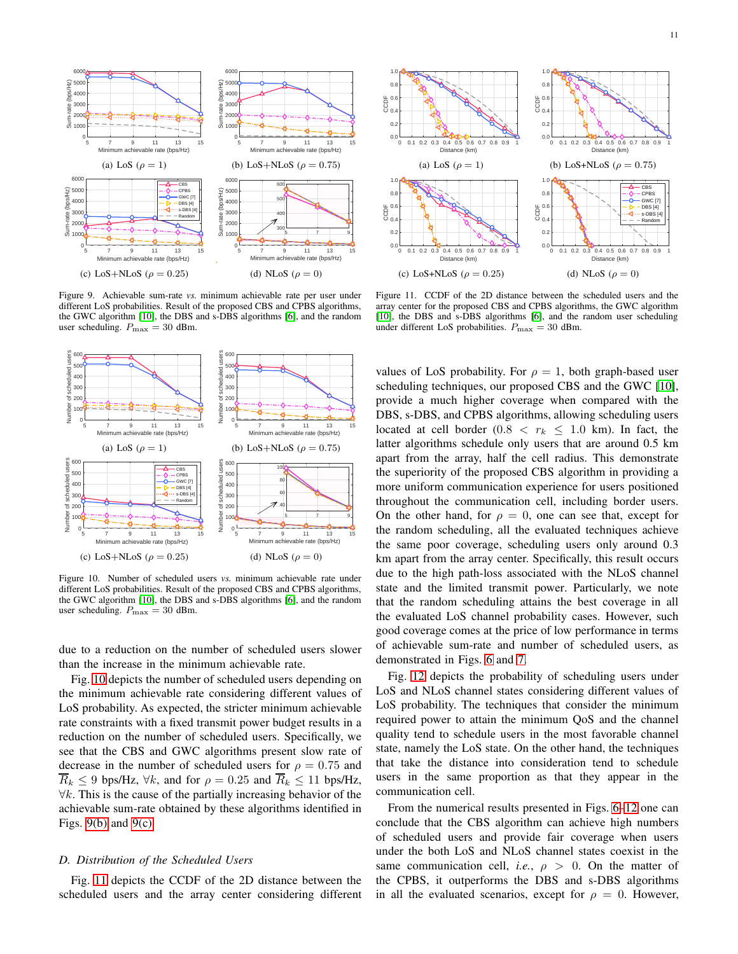

<span id="page-10-3"></span><span id="page-10-0"></span>Figure 9. Achievable sum-rate *vs.* minimum achievable rate per user under different LoS probabilities. Result of the proposed CBS and CPBS algorithms, the GWC algorithm [\[10\]](#page-11-9), the DBS and s-DBS algorithms [\[6\]](#page-11-5), and the random user scheduling.  $P_{\text{max}} = 30$  dBm.



<span id="page-10-1"></span>Figure 10. Number of scheduled users *vs.* minimum achievable rate under different LoS probabilities. Result of the proposed CBS and CPBS algorithms, the GWC algorithm [\[10\]](#page-11-9), the DBS and s-DBS algorithms [\[6\]](#page-11-5), and the random user scheduling.  $P_{\text{max}} = 30$  dBm.

due to a reduction on the number of scheduled users slower than the increase in the minimum achievable rate.

Fig. [10](#page-10-1) depicts the number of scheduled users depending on the minimum achievable rate considering different values of LoS probability. As expected, the stricter minimum achievable rate constraints with a fixed transmit power budget results in a reduction on the number of scheduled users. Specifically, we see that the CBS and GWC algorithms present slow rate of decrease in the number of scheduled users for  $\rho = 0.75$  and  $R_k \leq 9$  bps/Hz,  $\forall k$ , and for  $\rho = 0.25$  and  $R_k \leq 11$  bps/Hz,  $\forall k$ . This is the cause of the partially increasing behavior of the achievable sum-rate obtained by these algorithms identified in Figs.  $9(b)$  and  $9(c)$ .

## *D. Distribution of the Scheduled Users*

Fig. [11](#page-10-4) depicts the CCDF of the 2D distance between the scheduled users and the array center considering different

<span id="page-10-2"></span>

<span id="page-10-4"></span>Figure 11. CCDF of the 2D distance between the scheduled users and the array center for the proposed CBS and CPBS algorithms, the GWC algorithm [\[10\]](#page-11-9), the DBS and s-DBS algorithms [\[6\]](#page-11-5), and the random user scheduling under different LoS probabilities.  $P_{\text{max}} = 30$  dBm.

values of LoS probability. For  $\rho = 1$ , both graph-based user scheduling techniques, our proposed CBS and the GWC [\[10\]](#page-11-9), provide a much higher coverage when compared with the DBS, s-DBS, and CPBS algorithms, allowing scheduling users located at cell border (0.8  $\lt r_k \leq 1.0$  km). In fact, the latter algorithms schedule only users that are around 0.5 km apart from the array, half the cell radius. This demonstrate the superiority of the proposed CBS algorithm in providing a more uniform communication experience for users positioned throughout the communication cell, including border users. On the other hand, for  $\rho = 0$ , one can see that, except for the random scheduling, all the evaluated techniques achieve the same poor coverage, scheduling users only around 0.3 km apart from the array center. Specifically, this result occurs due to the high path-loss associated with the NLoS channel state and the limited transmit power. Particularly, we note that the random scheduling attains the best coverage in all the evaluated LoS channel probability cases. However, such good coverage comes at the price of low performance in terms of achievable sum-rate and number of scheduled users, as demonstrated in Figs. [6](#page-9-0) and [7.](#page-9-1)

Fig. [12](#page-11-18) depicts the probability of scheduling users under LoS and NLoS channel states considering different values of LoS probability. The techniques that consider the minimum required power to attain the minimum QoS and the channel quality tend to schedule users in the most favorable channel state, namely the LoS state. On the other hand, the techniques that take the distance into consideration tend to schedule users in the same proportion as that they appear in the communication cell.

From the numerical results presented in Figs. [6–](#page-9-0)[12](#page-11-18) one can conclude that the CBS algorithm can achieve high numbers of scheduled users and provide fair coverage when users under the both LoS and NLoS channel states coexist in the same communication cell, *i.e.*,  $\rho > 0$ . On the matter of the CPBS, it outperforms the DBS and s-DBS algorithms in all the evaluated scenarios, except for  $\rho = 0$ . However,